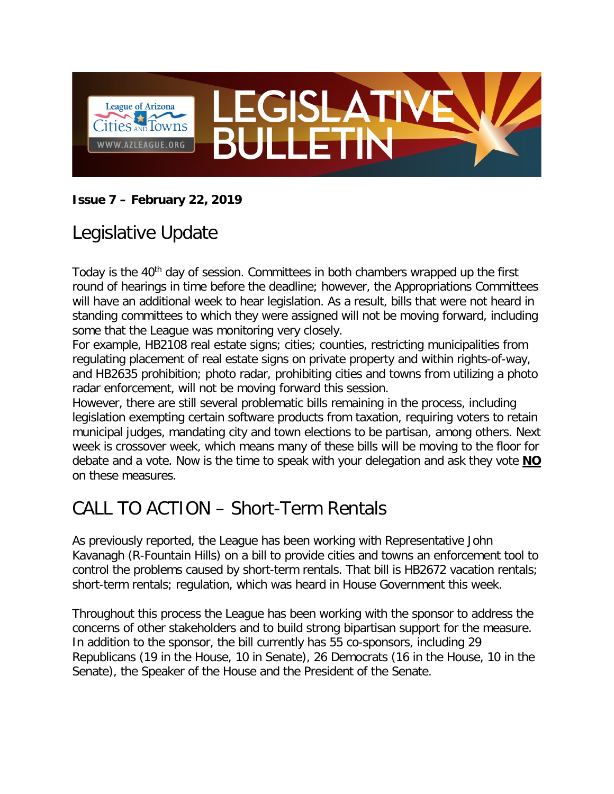

#### **Issue 7 – February 22, 2019**

### Legislative Update

Today is the 40<sup>th</sup> day of session. Committees in both chambers wrapped up the first round of hearings in time before the deadline; however, the Appropriations Committees will have an additional week to hear legislation. As a result, bills that were not heard in standing committees to which they were assigned will not be moving forward, including some that the League was monitoring very closely.

For example, HB2108 real estate signs; cities; counties, restricting municipalities from regulating placement of real estate signs on private property and within rights-of-way, and HB2635 prohibition; photo radar, prohibiting cities and towns from utilizing a photo radar enforcement, will not be moving forward this session.

However, there are still several problematic bills remaining in the process, including legislation exempting certain software products from taxation, requiring voters to retain municipal judges, mandating city and town elections to be partisan, among others. Next week is crossover week, which means many of these bills will be moving to the floor for debate and a vote. Now is the time to speak with your delegation and ask they vote **NO** on these measures.

#### CALL TO ACTION – Short-Term Rentals

As previously reported, the League has been working with Representative John Kavanagh (R-Fountain Hills) on a bill to provide cities and towns an enforcement tool to control the problems caused by short-term rentals. That bill is HB2672 vacation rentals; short-term rentals; regulation, which was heard in House Government this week.

Throughout this process the League has been working with the sponsor to address the concerns of other stakeholders and to build strong bipartisan support for the measure. In addition to the sponsor, the bill currently has 55 co-sponsors, including 29 Republicans (19 in the House, 10 in Senate), 26 Democrats (16 in the House, 10 in the Senate), the Speaker of the House and the President of the Senate.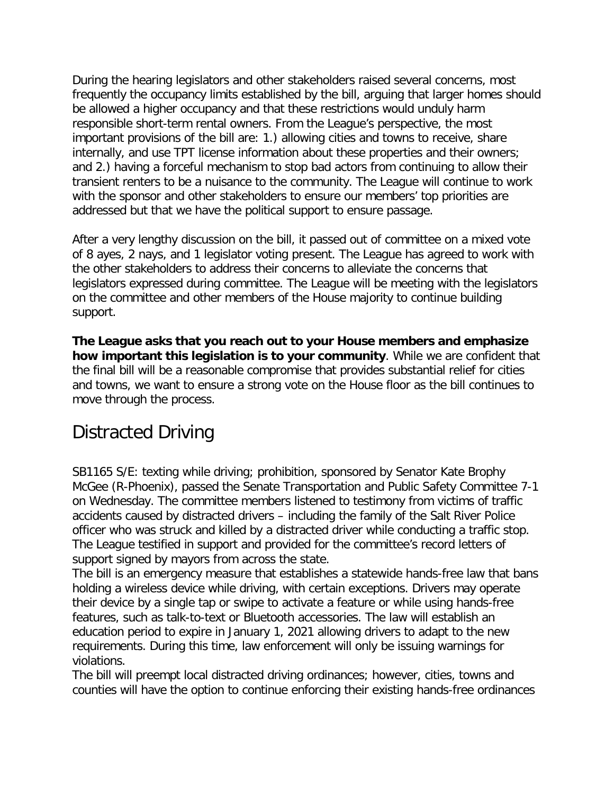During the hearing legislators and other stakeholders raised several concerns, most frequently the occupancy limits established by the bill, arguing that larger homes should be allowed a higher occupancy and that these restrictions would unduly harm responsible short-term rental owners. From the League's perspective, the most important provisions of the bill are: 1.) allowing cities and towns to receive, share internally, and use TPT license information about these properties and their owners; and 2.) having a forceful mechanism to stop bad actors from continuing to allow their transient renters to be a nuisance to the community. The League will continue to work with the sponsor and other stakeholders to ensure our members' top priorities are addressed but that we have the political support to ensure passage.

After a very lengthy discussion on the bill, it passed out of committee on a mixed vote of 8 ayes, 2 nays, and 1 legislator voting present. The League has agreed to work with the other stakeholders to address their concerns to alleviate the concerns that legislators expressed during committee. The League will be meeting with the legislators on the committee and other members of the House majority to continue building support.

**The League asks that you reach out to your House members and emphasize how important this legislation is to your community**. While we are confident that the final bill will be a reasonable compromise that provides substantial relief for cities and towns, we want to ensure a strong vote on the House floor as the bill continues to move through the process.

#### Distracted Driving

SB1165 S/E: texting while driving; prohibition, sponsored by Senator Kate Brophy McGee (R-Phoenix), passed the Senate Transportation and Public Safety Committee 7-1 on Wednesday. The committee members listened to testimony from victims of traffic accidents caused by distracted drivers – including the family of the Salt River Police officer who was struck and killed by a distracted driver while conducting a traffic stop. The League testified in support and provided for the committee's record letters of support signed by mayors from across the state.

The bill is an emergency measure that establishes a statewide hands-free law that bans holding a wireless device while driving, with certain exceptions. Drivers may operate their device by a single tap or swipe to activate a feature or while using hands-free features, such as talk-to-text or Bluetooth accessories. The law will establish an education period to expire in January 1, 2021 allowing drivers to adapt to the new requirements. During this time, law enforcement will only be issuing warnings for violations.

The bill will preempt local distracted driving ordinances; however, cities, towns and counties will have the option to continue enforcing their existing hands-free ordinances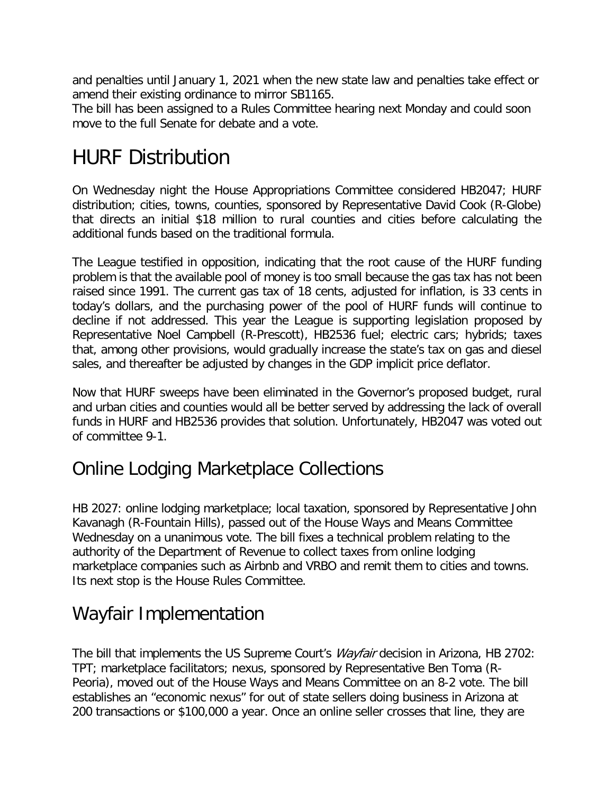and penalties until January 1, 2021 when the new state law and penalties take effect or amend their existing ordinance to mirror SB1165.

The bill has been assigned to a Rules Committee hearing next Monday and could soon move to the full Senate for debate and a vote.

# HURF Distribution

On Wednesday night the House Appropriations Committee considered HB2047; HURF distribution; cities, towns, counties, sponsored by Representative David Cook (R-Globe) that directs an initial \$18 million to rural counties and cities before calculating the additional funds based on the traditional formula.

The League testified in opposition, indicating that the root cause of the HURF funding problem is that the available pool of money is too small because the gas tax has not been raised since 1991. The current gas tax of 18 cents, adjusted for inflation, is 33 cents in today's dollars, and the purchasing power of the pool of HURF funds will continue to decline if not addressed. This year the League is supporting legislation proposed by Representative Noel Campbell (R-Prescott), HB2536 fuel; electric cars; hybrids; taxes that, among other provisions, would gradually increase the state's tax on gas and diesel sales, and thereafter be adjusted by changes in the GDP implicit price deflator.

Now that HURF sweeps have been eliminated in the Governor's proposed budget, rural and urban cities and counties would all be better served by addressing the lack of overall funds in HURF and HB2536 provides that solution. Unfortunately, HB2047 was voted out of committee 9-1.

#### Online Lodging Marketplace Collections

HB 2027: online lodging marketplace; local taxation, sponsored by Representative John Kavanagh (R-Fountain Hills), passed out of the House Ways and Means Committee Wednesday on a unanimous vote. The bill fixes a technical problem relating to the authority of the Department of Revenue to collect taxes from online lodging marketplace companies such as Airbnb and VRBO and remit them to cities and towns. Its next stop is the House Rules Committee.

#### Wayfair Implementation

The bill that implements the US Supreme Court's *Wayfair* decision in Arizona, HB 2702: TPT; marketplace facilitators; nexus, sponsored by Representative Ben Toma (R-Peoria), moved out of the House Ways and Means Committee on an 8-2 vote. The bill establishes an "economic nexus" for out of state sellers doing business in Arizona at 200 transactions or \$100,000 a year. Once an online seller crosses that line, they are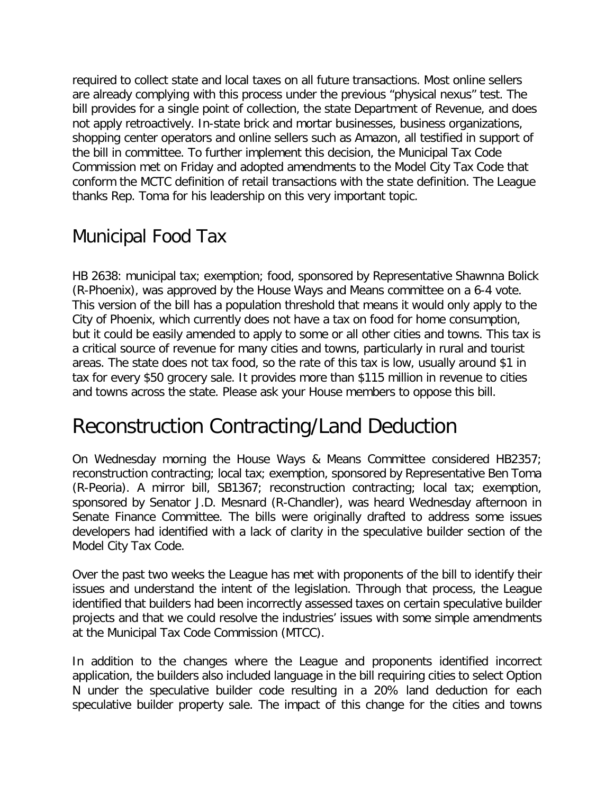required to collect state and local taxes on all future transactions. Most online sellers are already complying with this process under the previous "physical nexus" test. The bill provides for a single point of collection, the state Department of Revenue, and does not apply retroactively. In-state brick and mortar businesses, business organizations, shopping center operators and online sellers such as Amazon, all testified in support of the bill in committee. To further implement this decision, the Municipal Tax Code Commission met on Friday and adopted amendments to the Model City Tax Code that conform the MCTC definition of retail transactions with the state definition. The League thanks Rep. Toma for his leadership on this very important topic.

#### Municipal Food Tax

HB 2638: municipal tax; exemption; food, sponsored by Representative Shawnna Bolick (R-Phoenix), was approved by the House Ways and Means committee on a 6-4 vote. This version of the bill has a population threshold that means it would only apply to the City of Phoenix, which currently does not have a tax on food for home consumption, but it could be easily amended to apply to some or all other cities and towns. This tax is a critical source of revenue for many cities and towns, particularly in rural and tourist areas. The state does not tax food, so the rate of this tax is low, usually around \$1 in tax for every \$50 grocery sale. It provides more than \$115 million in revenue to cities and towns across the state. Please ask your House members to oppose this bill.

## Reconstruction Contracting/Land Deduction

On Wednesday morning the House Ways & Means Committee considered HB2357; reconstruction contracting; local tax; exemption, sponsored by Representative Ben Toma (R-Peoria). A mirror bill, SB1367; reconstruction contracting; local tax; exemption, sponsored by Senator J.D. Mesnard (R-Chandler), was heard Wednesday afternoon in Senate Finance Committee. The bills were originally drafted to address some issues developers had identified with a lack of clarity in the speculative builder section of the Model City Tax Code.

Over the past two weeks the League has met with proponents of the bill to identify their issues and understand the intent of the legislation. Through that process, the League identified that builders had been incorrectly assessed taxes on certain speculative builder projects and that we could resolve the industries' issues with some simple amendments at the Municipal Tax Code Commission (MTCC).

In addition to the changes where the League and proponents identified incorrect application, the builders also included language in the bill requiring cities to select Option N under the speculative builder code resulting in a 20% land deduction for each speculative builder property sale. The impact of this change for the cities and towns